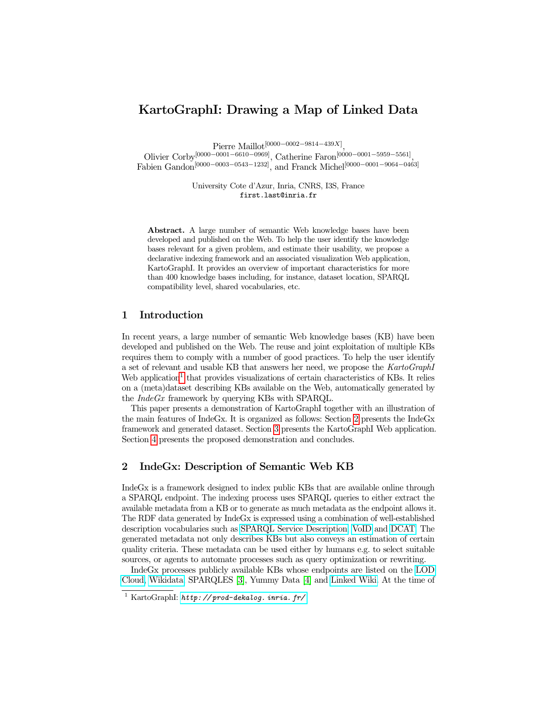# KartoGraphI: Drawing a Map of Linked Data

Pierre Maillot<sup>[0000–0002–9814–439X]</sup>,

Olivier Corby<sup>[0000–0001–6610–0969]</sup>, Catherine Faron<sup>[0000–0001–5959–5561]</sup>, Fabien Gandon[0000−0003−0543−1232], and Franck Michel[0000−0001−9064−0463]

> University Cote d'Azur, Inria, CNRS, I3S, France first.last@inria.fr

Abstract. A large number of semantic Web knowledge bases have been developed and published on the Web. To help the user identify the knowledge bases relevant for a given problem, and estimate their usability, we propose a declarative indexing framework and an associated visualization Web application, KartoGraphI. It provides an overview of important characteristics for more than 400 knowledge bases including, for instance, dataset location, SPARQL compatibility level, shared vocabularies, etc.

## 1 Introduction

In recent years, a large number of semantic Web knowledge bases (KB) have been developed and published on the Web. The reuse and joint exploitation of multiple KBs requires them to comply with a number of good practices. To help the user identify a set of relevant and usable KB that answers her need, we propose the KartoGraphI Web application<sup>[1](#page-0-0)</sup> that provides visualizations of certain characteristics of KBs. It relies on a (meta)dataset describing KBs available on the Web, automatically generated by the IndeGx framework by querying KBs with SPARQL.

This paper presents a demonstration of KartoGraphI together with an illustration of the main features of IndeGx. It is organized as follows: Section [2](#page-0-1) presents the IndeGx framework and generated dataset. Section [3](#page-1-0) presents the KartoGraphI Web application. Section [4](#page-3-0) presents the proposed demonstration and concludes.

### <span id="page-0-1"></span>2 IndeGx: Description of Semantic Web KB

IndeGx is a framework designed to index public KBs that are available online through a SPARQL endpoint. The indexing process uses SPARQL queries to either extract the available metadata from a KB or to generate as much metadata as the endpoint allows it. The RDF data generated by IndeGx is expressed using a combination of well-established description vocabularies such as [SPARQL Service Description,](https://www.w3.org/TR/sparql11-service-description/) [VoID](https://www.w3.org/TR/void/) and [DCAT.](https://www.w3.org/TR/vocab-dcat-2/) The generated metadata not only describes KBs but also conveys an estimation of certain quality criteria. These metadata can be used either by humans e.g. to select suitable sources, or agents to automate processes such as query optimization or rewriting.

IndeGx processes publicly available KBs whose endpoints are listed on the [LOD](https://lod-cloud.net/) [Cloud,](https://lod-cloud.net/) [Wikidata,](https://www.wikidata.org) SPARQLES [\[3\]](#page-4-0), Yummy Data [\[4\]](#page-4-1) and [Linked Wiki.](https://linkedwiki.com) At the time of

<span id="page-0-0"></span> $\frac{1}{1}$  KartoGraphI: http://prod-dekalog. inria. fr/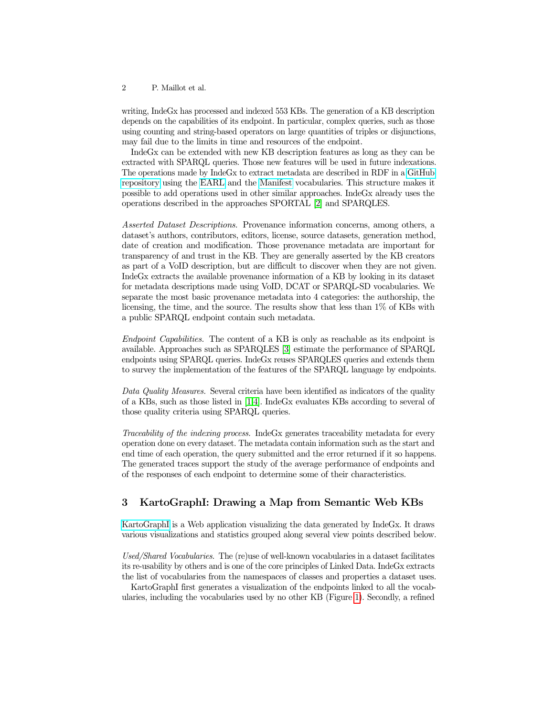2 P. Maillot et al.

writing, IndeGx has processed and indexed 553 KBs. The generation of a KB description depends on the capabilities of its endpoint. In particular, complex queries, such as those using counting and string-based operators on large quantities of triples or disjunctions, may fail due to the limits in time and resources of the endpoint.

IndeGx can be extended with new KB description features as long as they can be extracted with SPARQL queries. Those new features will be used in future indexations. The operations made by IndeGx to extract metadata are described in RDF in a [GitHub](https://github.com/Wimmics/dekalog/tree/master/rules) [repository](https://github.com/Wimmics/dekalog/tree/master/rules) using the [EARL](https://www.w3.org/TR/EARL10-Schema/) and the [Manifest](http://www.w3.org/2001/sw/DataAccess/tests/test-manifest) vocabularies. This structure makes it possible to add operations used in other similar approaches. IndeGx already uses the operations described in the approaches SPORTAL [\[2\]](#page-4-2) and SPARQLES.

Asserted Dataset Descriptions. Provenance information concerns, among others, a dataset's authors, contributors, editors, license, source datasets, generation method, date of creation and modification. Those provenance metadata are important for transparency of and trust in the KB. They are generally asserted by the KB creators as part of a VoID description, but are difficult to discover when they are not given. IndeGx extracts the available provenance information of a KB by looking in its dataset for metadata descriptions made using VoID, DCAT or SPARQL-SD vocabularies. We separate the most basic provenance metadata into 4 categories: the authorship, the licensing, the time, and the source. The results show that less than 1% of KBs with a public SPARQL endpoint contain such metadata.

Endpoint Capabilities. The content of a KB is only as reachable as its endpoint is available. Approaches such as SPARQLES [\[3\]](#page-4-0) estimate the performance of SPARQL endpoints using SPARQL queries. IndeGx reuses SPARQLES queries and extends them to survey the implementation of the features of the SPARQL language by endpoints.

Data Quality Measures. Several criteria have been identified as indicators of the quality of a KBs, such as those listed in [\[1](#page-4-3)[,4\]](#page-4-1). IndeGx evaluates KBs according to several of those quality criteria using SPARQL queries.

Traceability of the indexing process. IndeGx generates traceability metadata for every operation done on every dataset. The metadata contain information such as the start and end time of each operation, the query submitted and the error returned if it so happens. The generated traces support the study of the average performance of endpoints and of the responses of each endpoint to determine some of their characteristics.

# <span id="page-1-0"></span>3 KartoGraphI: Drawing a Map from Semantic Web KBs

[KartoGraphI](http://prod-dekalog.inria.fr/) is a Web application visualizing the data generated by IndeGx. It draws various visualizations and statistics grouped along several view points described below.

Used/Shared Vocabularies. The (re)use of well-known vocabularies in a dataset facilitates its re-usability by others and is one of the core principles of Linked Data. IndeGx extracts the list of vocabularies from the namespaces of classes and properties a dataset uses.

KartoGraphI first generates a visualization of the endpoints linked to all the vocabularies, including the vocabularies used by no other KB (Figure [1\)](#page-2-0). Secondly, a refined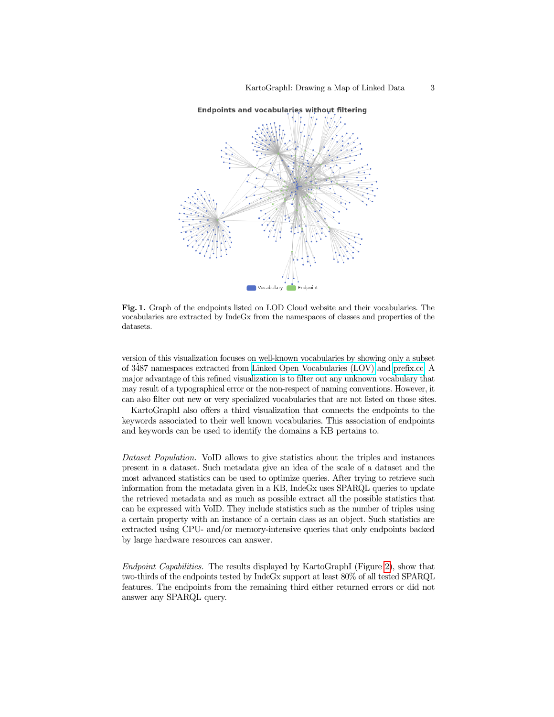

<span id="page-2-0"></span>Fig. 1. Graph of the endpoints listed on LOD Cloud website and their vocabularies. The vocabularies are extracted by IndeGx from the namespaces of classes and properties of the datasets.

version of this visualization focuses on well-known vocabularies by showing only a subset of 3487 namespaces extracted from [Linked Open Vocabularies \(LOV\)](https://lov.linkeddata.es/dataset/lov) and [prefix.cc.](http://prefix.cc/) A ˙ major advantage of this refined visualization is to filter out any unknown vocabulary that may result of a typographical error or the non-respect of naming conventions. However, it can also filter out new or very specialized vocabularies that are not listed on those sites.

KartoGraphI also offers a third visualization that connects the endpoints to the keywords associated to their well known vocabularies. This association of endpoints and keywords can be used to identify the domains a KB pertains to.

Dataset Population. VoID allows to give statistics about the triples and instances present in a dataset. Such metadata give an idea of the scale of a dataset and the most advanced statistics can be used to optimize queries. After trying to retrieve such information from the metadata given in a KB, IndeGx uses SPARQL queries to update the retrieved metadata and as much as possible extract all the possible statistics that can be expressed with VoID. They include statistics such as the number of triples using a certain property with an instance of a certain class as an object. Such statistics are extracted using CPU- and/or memory-intensive queries that only endpoints backed by large hardware resources can answer.

Endpoint Capabilities. The results displayed by KartoGraphI (Figure [2\)](#page-3-1), show that two-thirds of the endpoints tested by IndeGx support at least 80% of all tested SPARQL features. The endpoints from the remaining third either returned errors or did not answer any SPARQL query.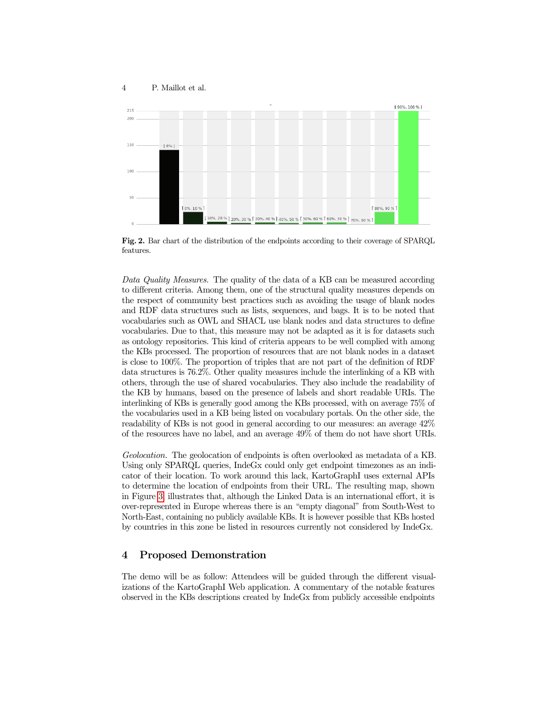

<span id="page-3-1"></span>Fig. 2. Bar chart of the distribution of the endpoints according to their coverage of SPARQL features.

Data Quality Measures. The quality of the data of a KB can be measured according to different criteria. Among them, one of the structural quality measures depends on the respect of community best practices such as avoiding the usage of blank nodes and RDF data structures such as lists, sequences, and bags. It is to be noted that vocabularies such as OWL and SHACL use blank nodes and data structures to define vocabularies. Due to that, this measure may not be adapted as it is for datasets such as ontology repositories. This kind of criteria appears to be well complied with among the KBs processed. The proportion of resources that are not blank nodes in a dataset is close to 100%. The proportion of triples that are not part of the definition of RDF data structures is 76.2%. Other quality measures include the interlinking of a KB with others, through the use of shared vocabularies. They also include the readability of the KB by humans, based on the presence of labels and short readable URIs. The interlinking of KBs is generally good among the KBs processed, with on average 75% of the vocabularies used in a KB being listed on vocabulary portals. On the other side, the readability of KBs is not good in general according to our measures: an average 42% of the resources have no label, and an average 49% of them do not have short URIs.

Geolocation. The geolocation of endpoints is often overlooked as metadata of a KB. Using only SPARQL queries, IndeGx could only get endpoint timezones as an indicator of their location. To work around this lack, KartoGraphI uses external APIs to determine the location of endpoints from their URL. The resulting map, shown in Figure [3,](#page-4-4) illustrates that, although the Linked Data is an international effort, it is over-represented in Europe whereas there is an "empty diagonal" from South-West to North-East, containing no publicly available KBs. It is however possible that KBs hosted by countries in this zone be listed in resources currently not considered by IndeGx.

# <span id="page-3-0"></span>4 Proposed Demonstration

The demo will be as follow: Attendees will be guided through the different visualizations of the KartoGraphI Web application. A commentary of the notable features observed in the KBs descriptions created by IndeGx from publicly accessible endpoints